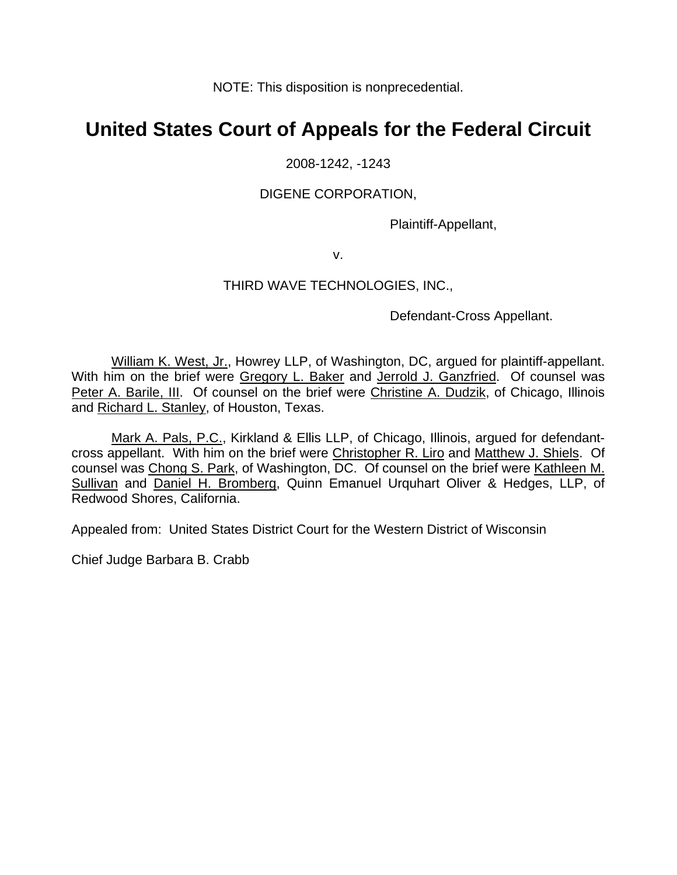NOTE: This disposition is nonprecedential.

# **United States Court of Appeals for the Federal Circuit**

### 2008-1242, -1243

### DIGENE CORPORATION,

Plaintiff-Appellant,

v.

## THIRD WAVE TECHNOLOGIES, INC.,

Defendant-Cross Appellant.

William K. West, Jr., Howrey LLP, of Washington, DC, argued for plaintiff-appellant. With him on the brief were Gregory L. Baker and Jerrold J. Ganzfried. Of counsel was Peter A. Barile, III. Of counsel on the brief were Christine A. Dudzik, of Chicago, Illinois and Richard L. Stanley, of Houston, Texas.

Mark A. Pals, P.C., Kirkland & Ellis LLP, of Chicago, Illinois, argued for defendantcross appellant. With him on the brief were Christopher R. Liro and Matthew J. Shiels. Of counsel was Chong S. Park, of Washington, DC. Of counsel on the brief were Kathleen M. Sullivan and Daniel H. Bromberg, Quinn Emanuel Urquhart Oliver & Hedges, LLP, of Redwood Shores, California.

Appealed from: United States District Court for the Western District of Wisconsin

Chief Judge Barbara B. Crabb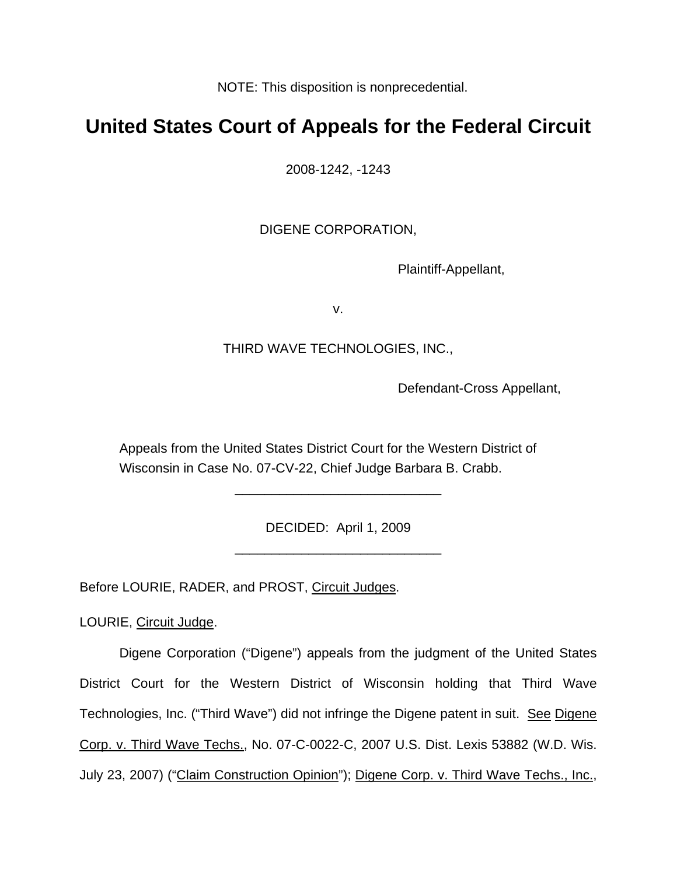NOTE: This disposition is nonprecedential.

# **United States Court of Appeals for the Federal Circuit**

2008-1242, -1243

DIGENE CORPORATION,

Plaintiff-Appellant,

v.

# THIRD WAVE TECHNOLOGIES, INC.,

Defendant-Cross Appellant,

Appeals from the United States District Court for the Western District of Wisconsin in Case No. 07-CV-22, Chief Judge Barbara B. Crabb.

> DECIDED: April 1, 2009 \_\_\_\_\_\_\_\_\_\_\_\_\_\_\_\_\_\_\_\_\_\_\_\_\_\_\_\_

> \_\_\_\_\_\_\_\_\_\_\_\_\_\_\_\_\_\_\_\_\_\_\_\_\_\_\_\_

Before LOURIE, RADER, and PROST, Circuit Judges.

LOURIE, Circuit Judge.

Digene Corporation ("Digene") appeals from the judgment of the United States District Court for the Western District of Wisconsin holding that Third Wave Technologies, Inc. ("Third Wave") did not infringe the Digene patent in suit. See Digene Corp. v. Third Wave Techs., No. 07-C-0022-C, 2007 U.S. Dist. Lexis 53882 (W.D. Wis. July 23, 2007) ("Claim Construction Opinion"); Digene Corp. v. Third Wave Techs., Inc.,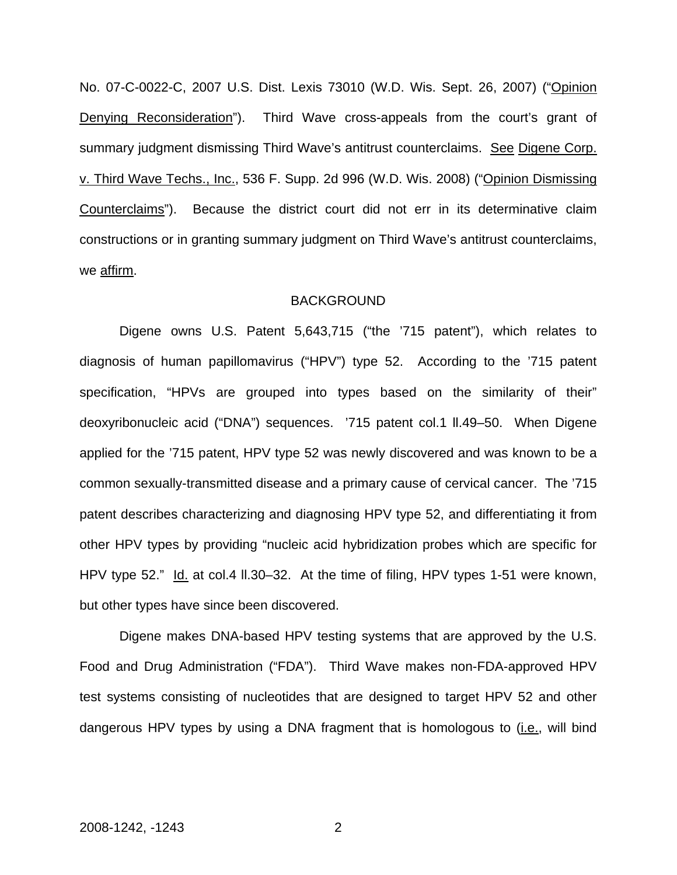No. 07-C-0022-C, 2007 U.S. Dist. Lexis 73010 (W.D. Wis. Sept. 26, 2007) ("Opinion Denying Reconsideration"). Third Wave cross-appeals from the court's grant of summary judgment dismissing Third Wave's antitrust counterclaims. See Digene Corp. v. Third Wave Techs., Inc., 536 F. Supp. 2d 996 (W.D. Wis. 2008) ("Opinion Dismissing Counterclaims"). Because the district court did not err in its determinative claim constructions or in granting summary judgment on Third Wave's antitrust counterclaims, we affirm.

#### BACKGROUND

Digene owns U.S. Patent 5,643,715 ("the '715 patent"), which relates to diagnosis of human papillomavirus ("HPV") type 52. According to the '715 patent specification, "HPVs are grouped into types based on the similarity of their" deoxyribonucleic acid ("DNA") sequences. '715 patent col.1 ll.49–50. When Digene applied for the '715 patent, HPV type 52 was newly discovered and was known to be a common sexually-transmitted disease and a primary cause of cervical cancer. The '715 patent describes characterizing and diagnosing HPV type 52, and differentiating it from other HPV types by providing "nucleic acid hybridization probes which are specific for HPV type 52." Id. at col.4 II.30–32. At the time of filing, HPV types 1-51 were known, but other types have since been discovered.

Digene makes DNA-based HPV testing systems that are approved by the U.S. Food and Drug Administration ("FDA"). Third Wave makes non-FDA-approved HPV test systems consisting of nucleotides that are designed to target HPV 52 and other dangerous HPV types by using a DNA fragment that is homologous to (*i.e.*, will bind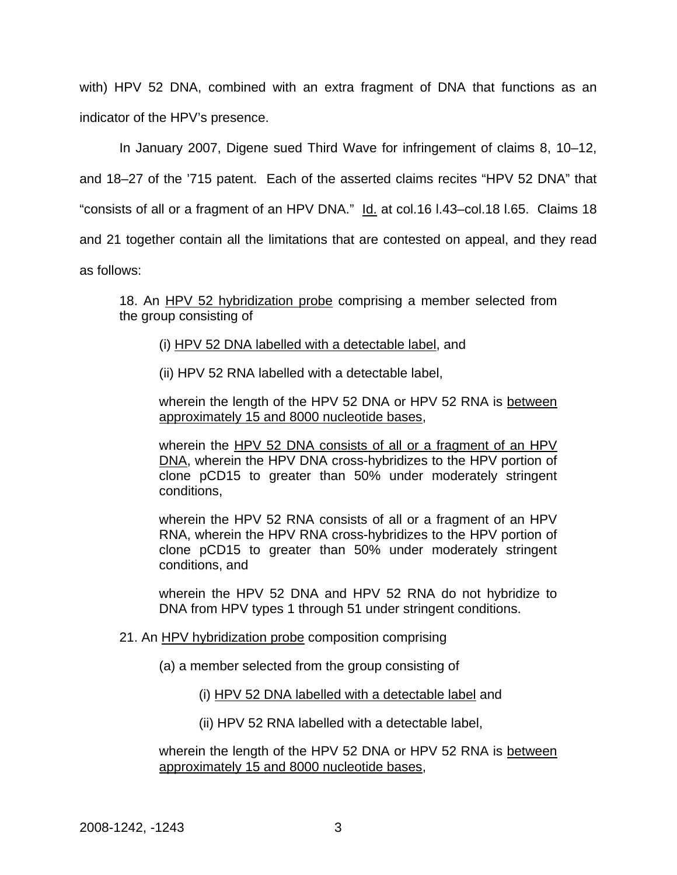with) HPV 52 DNA, combined with an extra fragment of DNA that functions as an indicator of the HPV's presence.

In January 2007, Digene sued Third Wave for infringement of claims 8, 10–12,

and 18–27 of the '715 patent. Each of the asserted claims recites "HPV 52 DNA" that

"consists of all or a fragment of an HPV DNA." Id. at col.16 I.43-col.18 I.65. Claims 18

and 21 together contain all the limitations that are contested on appeal, and they read

as follows:

18. An HPV 52 hybridization probe comprising a member selected from the group consisting of

(i) HPV 52 DNA labelled with a detectable label, and

(ii) HPV 52 RNA labelled with a detectable label,

wherein the length of the HPV 52 DNA or HPV 52 RNA is between approximately 15 and 8000 nucleotide bases,

wherein the HPV 52 DNA consists of all or a fragment of an HPV DNA, wherein the HPV DNA cross-hybridizes to the HPV portion of clone pCD15 to greater than 50% under moderately stringent conditions,

wherein the HPV 52 RNA consists of all or a fragment of an HPV RNA, wherein the HPV RNA cross-hybridizes to the HPV portion of clone pCD15 to greater than 50% under moderately stringent conditions, and

wherein the HPV 52 DNA and HPV 52 RNA do not hybridize to DNA from HPV types 1 through 51 under stringent conditions.

- 21. An HPV hybridization probe composition comprising
	- (a) a member selected from the group consisting of
		- (i) HPV 52 DNA labelled with a detectable label and
		- (ii) HPV 52 RNA labelled with a detectable label,

wherein the length of the HPV 52 DNA or HPV 52 RNA is between approximately 15 and 8000 nucleotide bases,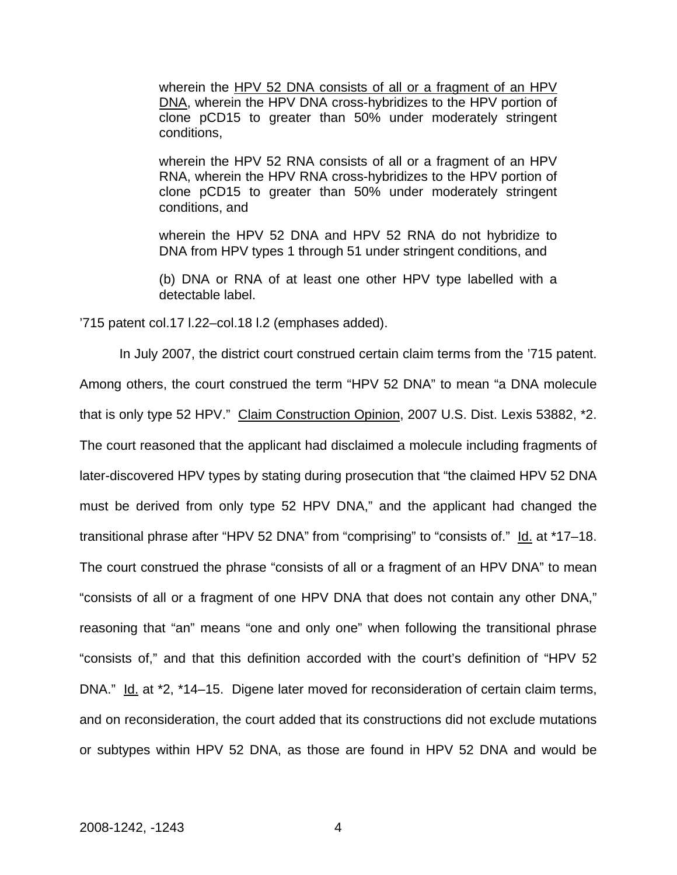wherein the HPV 52 DNA consists of all or a fragment of an HPV DNA, wherein the HPV DNA cross-hybridizes to the HPV portion of clone pCD15 to greater than 50% under moderately stringent conditions,

wherein the HPV 52 RNA consists of all or a fragment of an HPV RNA, wherein the HPV RNA cross-hybridizes to the HPV portion of clone pCD15 to greater than 50% under moderately stringent conditions, and

wherein the HPV 52 DNA and HPV 52 RNA do not hybridize to DNA from HPV types 1 through 51 under stringent conditions, and

(b) DNA or RNA of at least one other HPV type labelled with a detectable label.

'715 patent col.17 l.22–col.18 l.2 (emphases added).

In July 2007, the district court construed certain claim terms from the '715 patent. Among others, the court construed the term "HPV 52 DNA" to mean "a DNA molecule that is only type 52 HPV." Claim Construction Opinion, 2007 U.S. Dist. Lexis 53882, \*2. The court reasoned that the applicant had disclaimed a molecule including fragments of later-discovered HPV types by stating during prosecution that "the claimed HPV 52 DNA must be derived from only type 52 HPV DNA," and the applicant had changed the transitional phrase after "HPV 52 DNA" from "comprising" to "consists of." Id. at \*17-18. The court construed the phrase "consists of all or a fragment of an HPV DNA" to mean "consists of all or a fragment of one HPV DNA that does not contain any other DNA," reasoning that "an" means "one and only one" when following the transitional phrase "consists of," and that this definition accorded with the court's definition of "HPV 52 DNA." Id. at \*2, \*14–15. Digene later moved for reconsideration of certain claim terms, and on reconsideration, the court added that its constructions did not exclude mutations or subtypes within HPV 52 DNA, as those are found in HPV 52 DNA and would be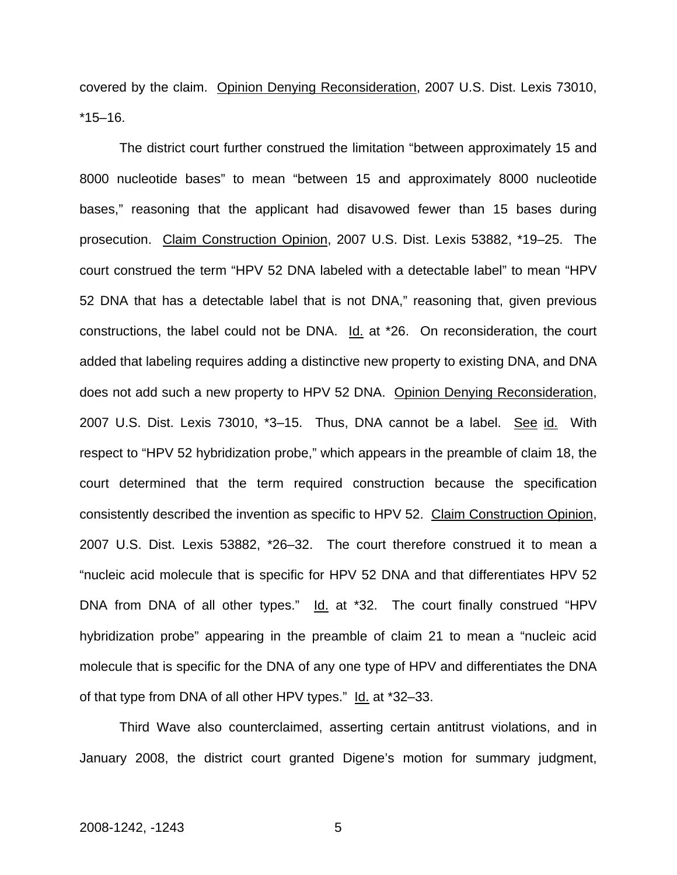covered by the claim. Opinion Denying Reconsideration, 2007 U.S. Dist. Lexis 73010, \*15–16.

The district court further construed the limitation "between approximately 15 and 8000 nucleotide bases" to mean "between 15 and approximately 8000 nucleotide bases," reasoning that the applicant had disavowed fewer than 15 bases during prosecution. Claim Construction Opinion, 2007 U.S. Dist. Lexis 53882, \*19–25. The court construed the term "HPV 52 DNA labeled with a detectable label" to mean "HPV 52 DNA that has a detectable label that is not DNA," reasoning that, given previous constructions, the label could not be DNA. Id. at \*26. On reconsideration, the court added that labeling requires adding a distinctive new property to existing DNA, and DNA does not add such a new property to HPV 52 DNA. Opinion Denying Reconsideration, 2007 U.S. Dist. Lexis 73010, \*3–15. Thus, DNA cannot be a label. See id. With respect to "HPV 52 hybridization probe," which appears in the preamble of claim 18, the court determined that the term required construction because the specification consistently described the invention as specific to HPV 52. Claim Construction Opinion, 2007 U.S. Dist. Lexis 53882, \*26–32. The court therefore construed it to mean a "nucleic acid molecule that is specific for HPV 52 DNA and that differentiates HPV 52 DNA from DNA of all other types." Id. at \*32. The court finally construed "HPV hybridization probe" appearing in the preamble of claim 21 to mean a "nucleic acid molecule that is specific for the DNA of any one type of HPV and differentiates the DNA of that type from DNA of all other HPV types." Id. at \*32–33.

Third Wave also counterclaimed, asserting certain antitrust violations, and in January 2008, the district court granted Digene's motion for summary judgment,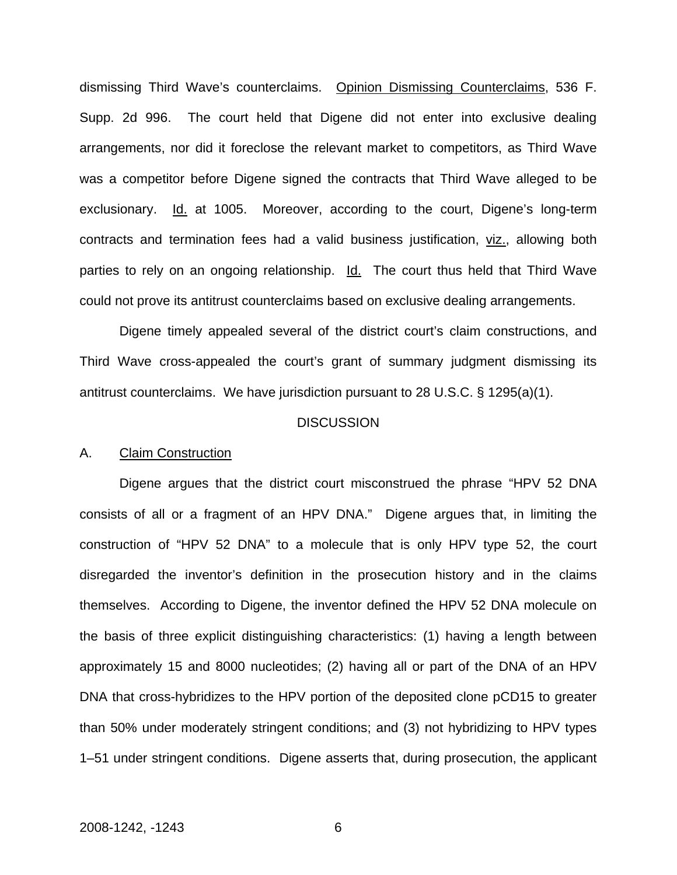dismissing Third Wave's counterclaims. Opinion Dismissing Counterclaims, 536 F. Supp. 2d 996. The court held that Digene did not enter into exclusive dealing arrangements, nor did it foreclose the relevant market to competitors, as Third Wave was a competitor before Digene signed the contracts that Third Wave alleged to be exclusionary. Id. at 1005. Moreover, according to the court, Digene's long-term contracts and termination fees had a valid business justification, viz., allowing both parties to rely on an ongoing relationship. Id. The court thus held that Third Wave could not prove its antitrust counterclaims based on exclusive dealing arrangements.

Digene timely appealed several of the district court's claim constructions, and Third Wave cross-appealed the court's grant of summary judgment dismissing its antitrust counterclaims. We have jurisdiction pursuant to 28 U.S.C. § 1295(a)(1).

#### **DISCUSSION**

#### A. Claim Construction

Digene argues that the district court misconstrued the phrase "HPV 52 DNA consists of all or a fragment of an HPV DNA." Digene argues that, in limiting the construction of "HPV 52 DNA" to a molecule that is only HPV type 52, the court disregarded the inventor's definition in the prosecution history and in the claims themselves. According to Digene, the inventor defined the HPV 52 DNA molecule on the basis of three explicit distinguishing characteristics: (1) having a length between approximately 15 and 8000 nucleotides; (2) having all or part of the DNA of an HPV DNA that cross-hybridizes to the HPV portion of the deposited clone pCD15 to greater than 50% under moderately stringent conditions; and (3) not hybridizing to HPV types 1–51 under stringent conditions. Digene asserts that, during prosecution, the applicant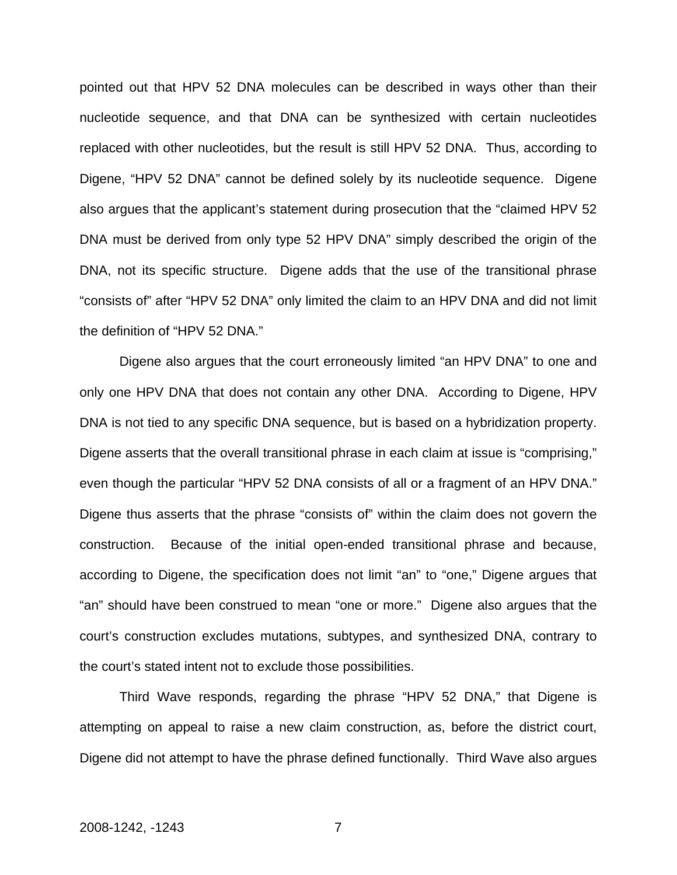pointed out that HPV 52 DNA molecules can be described in ways other than their nucleotide sequence, and that DNA can be synthesized with certain nucleotides replaced with other nucleotides, but the result is still HPV 52 DNA. Thus, according to Digene, "HPV 52 DNA" cannot be defined solely by its nucleotide sequence. Digene also argues that the applicant's statement during prosecution that the "claimed HPV 52 DNA must be derived from only type 52 HPV DNA" simply described the origin of the DNA, not its specific structure. Digene adds that the use of the transitional phrase "consists of" after "HPV 52 DNA" only limited the claim to an HPV DNA and did not limit the definition of "HPV 52 DNA."

Digene also argues that the court erroneously limited "an HPV DNA" to one and only one HPV DNA that does not contain any other DNA. According to Digene, HPV DNA is not tied to any specific DNA sequence, but is based on a hybridization property. Digene asserts that the overall transitional phrase in each claim at issue is "comprising," even though the particular "HPV 52 DNA consists of all or a fragment of an HPV DNA." Digene thus asserts that the phrase "consists of" within the claim does not govern the construction. Because of the initial open-ended transitional phrase and because, according to Digene, the specification does not limit "an" to "one," Digene argues that "an" should have been construed to mean "one or more." Digene also argues that the court's construction excludes mutations, subtypes, and synthesized DNA, contrary to the court's stated intent not to exclude those possibilities.

Third Wave responds, regarding the phrase "HPV 52 DNA," that Digene is attempting on appeal to raise a new claim construction, as, before the district court, Digene did not attempt to have the phrase defined functionally. Third Wave also argues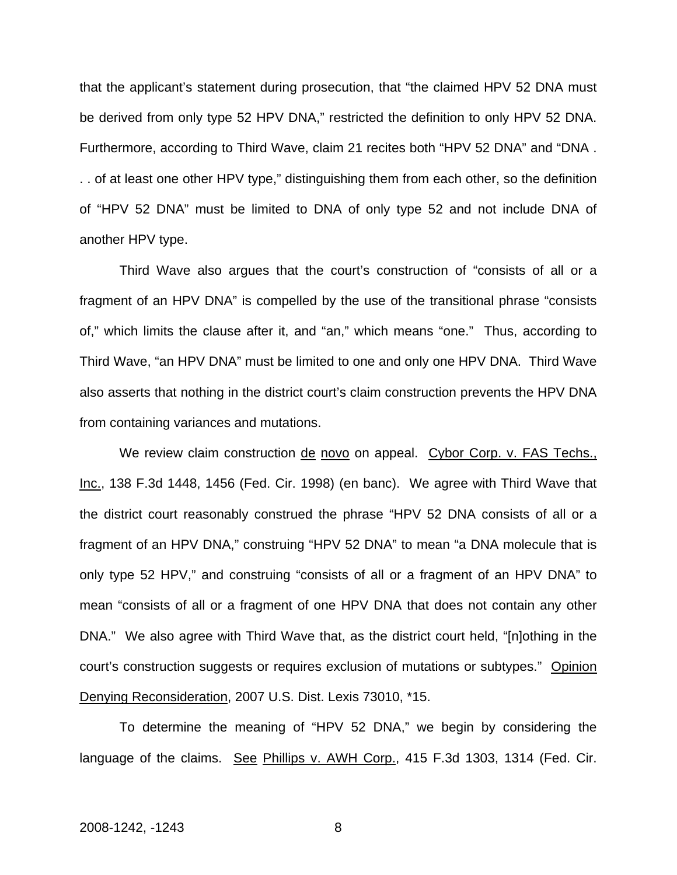that the applicant's statement during prosecution, that "the claimed HPV 52 DNA must be derived from only type 52 HPV DNA," restricted the definition to only HPV 52 DNA. Furthermore, according to Third Wave, claim 21 recites both "HPV 52 DNA" and "DNA . . . of at least one other HPV type," distinguishing them from each other, so the definition of "HPV 52 DNA" must be limited to DNA of only type 52 and not include DNA of another HPV type.

Third Wave also argues that the court's construction of "consists of all or a fragment of an HPV DNA" is compelled by the use of the transitional phrase "consists of," which limits the clause after it, and "an," which means "one." Thus, according to Third Wave, "an HPV DNA" must be limited to one and only one HPV DNA. Third Wave also asserts that nothing in the district court's claim construction prevents the HPV DNA from containing variances and mutations.

We review claim construction de novo on appeal. Cybor Corp. v. FAS Techs., Inc., 138 F.3d 1448, 1456 (Fed. Cir. 1998) (en banc). We agree with Third Wave that the district court reasonably construed the phrase "HPV 52 DNA consists of all or a fragment of an HPV DNA," construing "HPV 52 DNA" to mean "a DNA molecule that is only type 52 HPV," and construing "consists of all or a fragment of an HPV DNA" to mean "consists of all or a fragment of one HPV DNA that does not contain any other DNA." We also agree with Third Wave that, as the district court held, "[n]othing in the court's construction suggests or requires exclusion of mutations or subtypes." Opinion Denying Reconsideration, 2007 U.S. Dist. Lexis 73010, \*15.

To determine the meaning of "HPV 52 DNA," we begin by considering the language of the claims. See Phillips v. AWH Corp., 415 F.3d 1303, 1314 (Fed. Cir.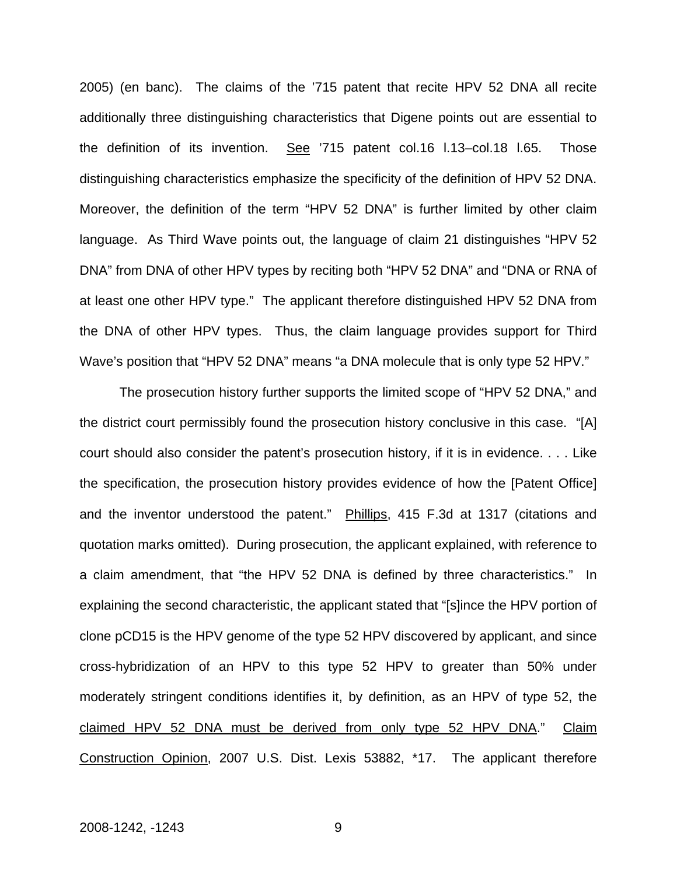2005) (en banc). The claims of the '715 patent that recite HPV 52 DNA all recite additionally three distinguishing characteristics that Digene points out are essential to the definition of its invention. See '715 patent col.16 l.13–col.18 l.65. Those distinguishing characteristics emphasize the specificity of the definition of HPV 52 DNA. Moreover, the definition of the term "HPV 52 DNA" is further limited by other claim language. As Third Wave points out, the language of claim 21 distinguishes "HPV 52 DNA" from DNA of other HPV types by reciting both "HPV 52 DNA" and "DNA or RNA of at least one other HPV type." The applicant therefore distinguished HPV 52 DNA from the DNA of other HPV types. Thus, the claim language provides support for Third Wave's position that "HPV 52 DNA" means "a DNA molecule that is only type 52 HPV."

The prosecution history further supports the limited scope of "HPV 52 DNA," and the district court permissibly found the prosecution history conclusive in this case. "[A] court should also consider the patent's prosecution history, if it is in evidence. . . . Like the specification, the prosecution history provides evidence of how the [Patent Office] and the inventor understood the patent." Phillips, 415 F.3d at 1317 (citations and quotation marks omitted). During prosecution, the applicant explained, with reference to a claim amendment, that "the HPV 52 DNA is defined by three characteristics." In explaining the second characteristic, the applicant stated that "[s]ince the HPV portion of clone pCD15 is the HPV genome of the type 52 HPV discovered by applicant, and since cross-hybridization of an HPV to this type 52 HPV to greater than 50% under moderately stringent conditions identifies it, by definition, as an HPV of type 52, the claimed HPV 52 DNA must be derived from only type 52 HPV DNA." Claim Construction Opinion, 2007 U.S. Dist. Lexis 53882, \*17. The applicant therefore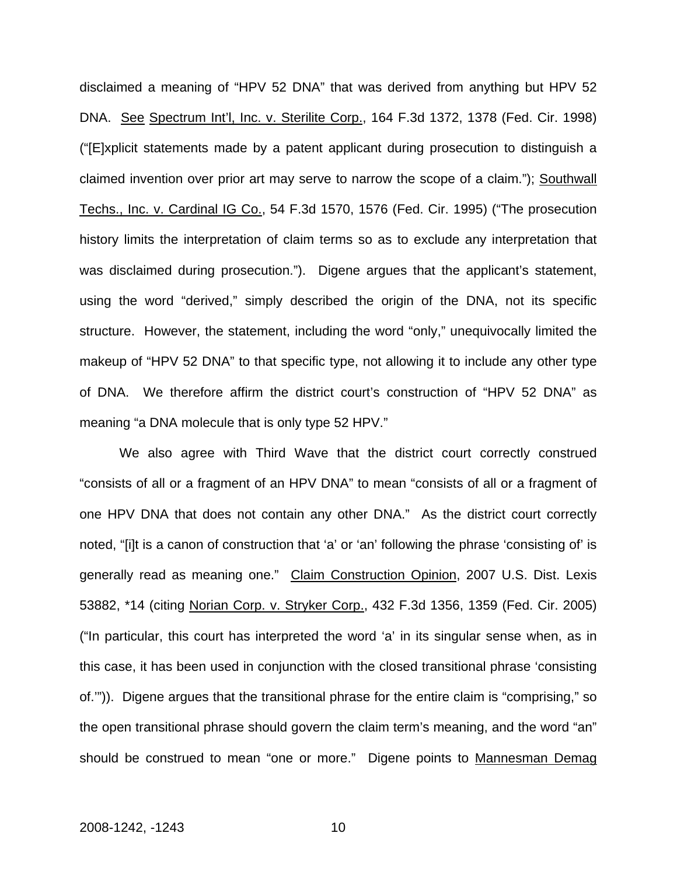disclaimed a meaning of "HPV 52 DNA" that was derived from anything but HPV 52 DNA. See Spectrum Int'l, Inc. v. Sterilite Corp., 164 F.3d 1372, 1378 (Fed. Cir. 1998) ("[E]xplicit statements made by a patent applicant during prosecution to distinguish a claimed invention over prior art may serve to narrow the scope of a claim."); Southwall Techs., Inc. v. Cardinal IG Co., 54 F.3d 1570, 1576 (Fed. Cir. 1995) ("The prosecution history limits the interpretation of claim terms so as to exclude any interpretation that was disclaimed during prosecution."). Digene argues that the applicant's statement, using the word "derived," simply described the origin of the DNA, not its specific structure. However, the statement, including the word "only," unequivocally limited the makeup of "HPV 52 DNA" to that specific type, not allowing it to include any other type of DNA. We therefore affirm the district court's construction of "HPV 52 DNA" as meaning "a DNA molecule that is only type 52 HPV."

We also agree with Third Wave that the district court correctly construed "consists of all or a fragment of an HPV DNA" to mean "consists of all or a fragment of one HPV DNA that does not contain any other DNA." As the district court correctly noted, "[i]t is a canon of construction that 'a' or 'an' following the phrase 'consisting of' is generally read as meaning one." Claim Construction Opinion, 2007 U.S. Dist. Lexis 53882, \*14 (citing Norian Corp. v. Stryker Corp., 432 F.3d 1356, 1359 (Fed. Cir. 2005) ("In particular, this court has interpreted the word 'a' in its singular sense when, as in this case, it has been used in conjunction with the closed transitional phrase 'consisting of.'")). Digene argues that the transitional phrase for the entire claim is "comprising," so the open transitional phrase should govern the claim term's meaning, and the word "an" should be construed to mean "one or more." Digene points to Mannesman Demag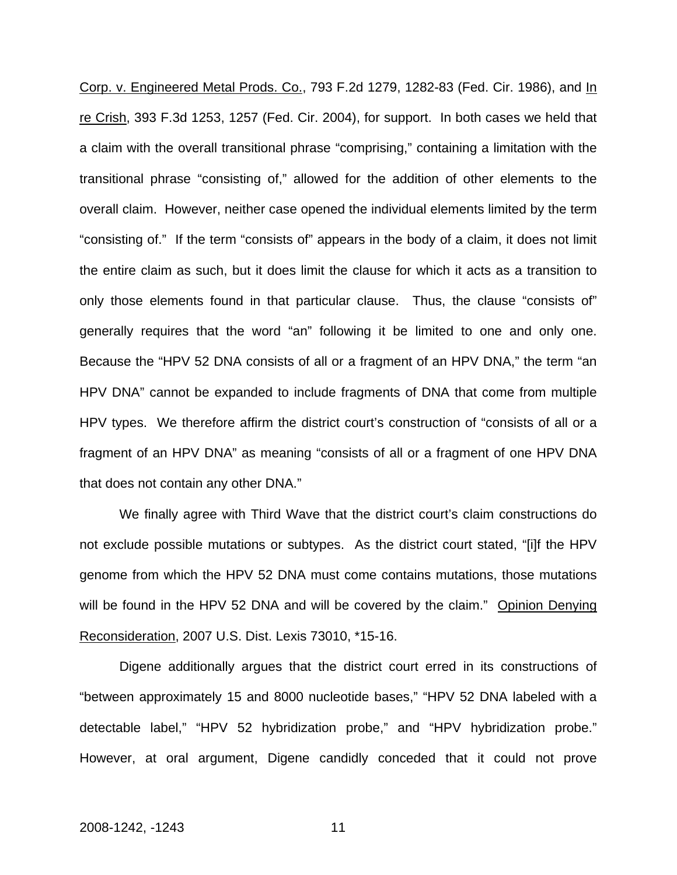Corp. v. Engineered Metal Prods. Co., 793 F.2d 1279, 1282-83 (Fed. Cir. 1986), and In re Crish, 393 F.3d 1253, 1257 (Fed. Cir. 2004), for support. In both cases we held that a claim with the overall transitional phrase "comprising," containing a limitation with the transitional phrase "consisting of," allowed for the addition of other elements to the overall claim. However, neither case opened the individual elements limited by the term "consisting of." If the term "consists of" appears in the body of a claim, it does not limit the entire claim as such, but it does limit the clause for which it acts as a transition to only those elements found in that particular clause. Thus, the clause "consists of" generally requires that the word "an" following it be limited to one and only one. Because the "HPV 52 DNA consists of all or a fragment of an HPV DNA," the term "an HPV DNA" cannot be expanded to include fragments of DNA that come from multiple HPV types. We therefore affirm the district court's construction of "consists of all or a fragment of an HPV DNA" as meaning "consists of all or a fragment of one HPV DNA that does not contain any other DNA."

We finally agree with Third Wave that the district court's claim constructions do not exclude possible mutations or subtypes. As the district court stated, "[i]f the HPV genome from which the HPV 52 DNA must come contains mutations, those mutations will be found in the HPV 52 DNA and will be covered by the claim." Opinion Denying Reconsideration, 2007 U.S. Dist. Lexis 73010, \*15-16.

Digene additionally argues that the district court erred in its constructions of "between approximately 15 and 8000 nucleotide bases," "HPV 52 DNA labeled with a detectable label," "HPV 52 hybridization probe," and "HPV hybridization probe." However, at oral argument, Digene candidly conceded that it could not prove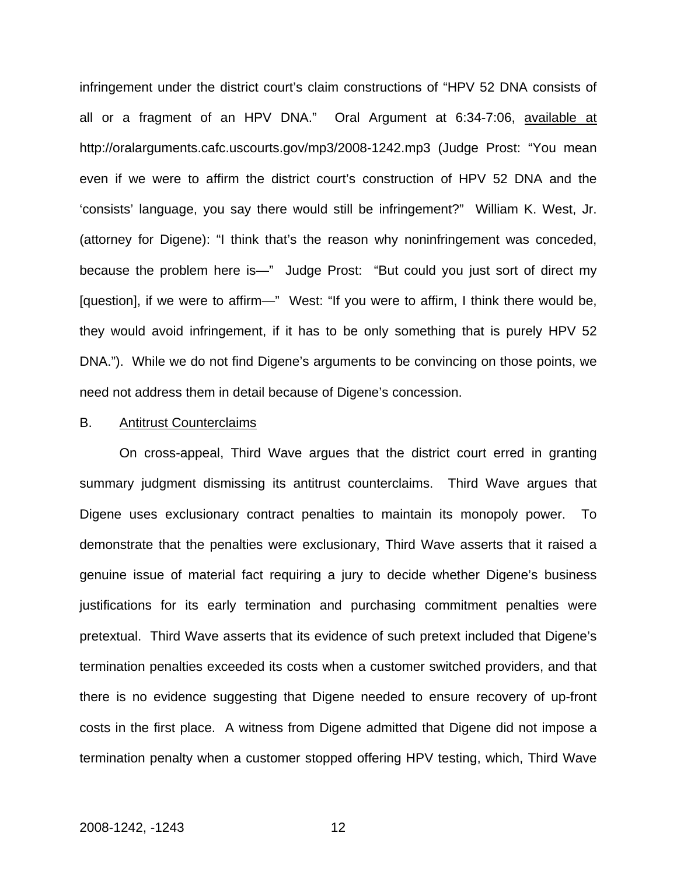infringement under the district court's claim constructions of "HPV 52 DNA consists of all or a fragment of an HPV DNA." Oral Argument at 6:34-7:06, available at http://oralarguments.cafc.uscourts.gov/mp3/2008-1242.mp3 (Judge Prost: "You mean even if we were to affirm the district court's construction of HPV 52 DNA and the 'consists' language, you say there would still be infringement?" William K. West, Jr. (attorney for Digene): "I think that's the reason why noninfringement was conceded, because the problem here is—" Judge Prost: "But could you just sort of direct my [question], if we were to affirm—" West: "If you were to affirm, I think there would be, they would avoid infringement, if it has to be only something that is purely HPV 52 DNA."). While we do not find Digene's arguments to be convincing on those points, we need not address them in detail because of Digene's concession.

#### B. Antitrust Counterclaims

 On cross-appeal, Third Wave argues that the district court erred in granting summary judgment dismissing its antitrust counterclaims. Third Wave argues that Digene uses exclusionary contract penalties to maintain its monopoly power. To demonstrate that the penalties were exclusionary, Third Wave asserts that it raised a genuine issue of material fact requiring a jury to decide whether Digene's business justifications for its early termination and purchasing commitment penalties were pretextual. Third Wave asserts that its evidence of such pretext included that Digene's termination penalties exceeded its costs when a customer switched providers, and that there is no evidence suggesting that Digene needed to ensure recovery of up-front costs in the first place. A witness from Digene admitted that Digene did not impose a termination penalty when a customer stopped offering HPV testing, which, Third Wave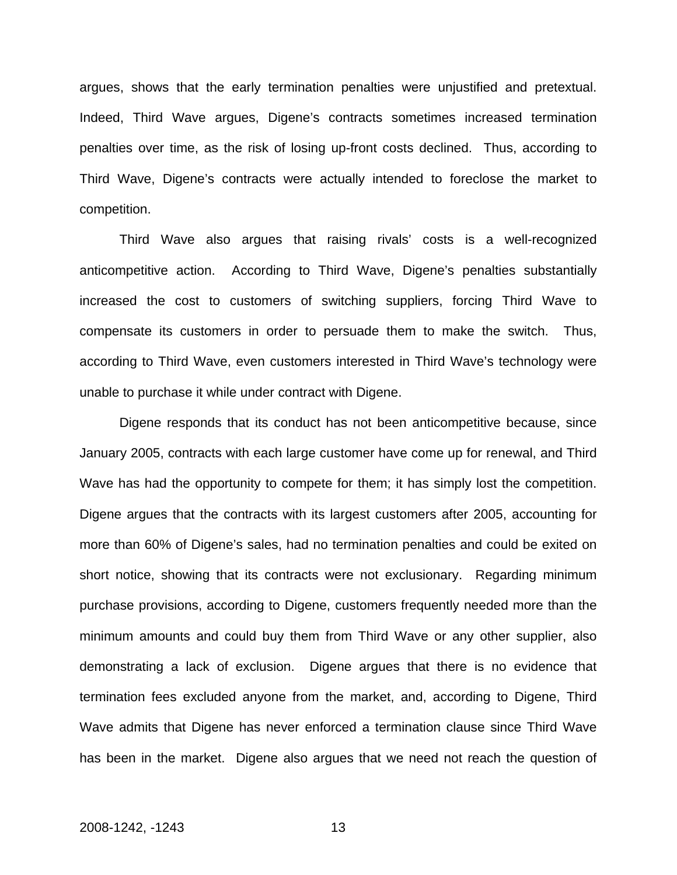argues, shows that the early termination penalties were unjustified and pretextual. Indeed, Third Wave argues, Digene's contracts sometimes increased termination penalties over time, as the risk of losing up-front costs declined. Thus, according to Third Wave, Digene's contracts were actually intended to foreclose the market to competition.

Third Wave also argues that raising rivals' costs is a well-recognized anticompetitive action. According to Third Wave, Digene's penalties substantially increased the cost to customers of switching suppliers, forcing Third Wave to compensate its customers in order to persuade them to make the switch. Thus, according to Third Wave, even customers interested in Third Wave's technology were unable to purchase it while under contract with Digene.

Digene responds that its conduct has not been anticompetitive because, since January 2005, contracts with each large customer have come up for renewal, and Third Wave has had the opportunity to compete for them; it has simply lost the competition. Digene argues that the contracts with its largest customers after 2005, accounting for more than 60% of Digene's sales, had no termination penalties and could be exited on short notice, showing that its contracts were not exclusionary. Regarding minimum purchase provisions, according to Digene, customers frequently needed more than the minimum amounts and could buy them from Third Wave or any other supplier, also demonstrating a lack of exclusion. Digene argues that there is no evidence that termination fees excluded anyone from the market, and, according to Digene, Third Wave admits that Digene has never enforced a termination clause since Third Wave has been in the market. Digene also argues that we need not reach the question of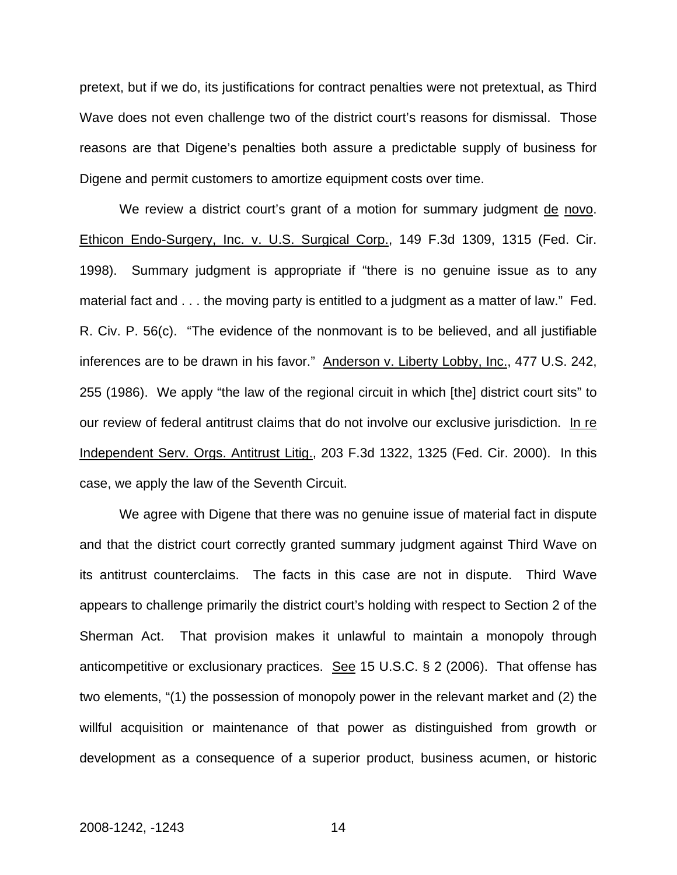pretext, but if we do, its justifications for contract penalties were not pretextual, as Third Wave does not even challenge two of the district court's reasons for dismissal. Those reasons are that Digene's penalties both assure a predictable supply of business for Digene and permit customers to amortize equipment costs over time.

We review a district court's grant of a motion for summary judgment de novo. Ethicon Endo-Surgery, Inc. v. U.S. Surgical Corp., 149 F.3d 1309, 1315 (Fed. Cir. 1998). Summary judgment is appropriate if "there is no genuine issue as to any material fact and . . . the moving party is entitled to a judgment as a matter of law." Fed. R. Civ. P. 56(c). "The evidence of the nonmovant is to be believed, and all justifiable inferences are to be drawn in his favor." Anderson v. Liberty Lobby, Inc., 477 U.S. 242, 255 (1986). We apply "the law of the regional circuit in which [the] district court sits" to our review of federal antitrust claims that do not involve our exclusive jurisdiction. In re Independent Serv. Orgs. Antitrust Litig., 203 F.3d 1322, 1325 (Fed. Cir. 2000). In this case, we apply the law of the Seventh Circuit.

We agree with Digene that there was no genuine issue of material fact in dispute and that the district court correctly granted summary judgment against Third Wave on its antitrust counterclaims. The facts in this case are not in dispute. Third Wave appears to challenge primarily the district court's holding with respect to Section 2 of the Sherman Act. That provision makes it unlawful to maintain a monopoly through anticompetitive or exclusionary practices. See 15 U.S.C.  $\S$  2 (2006). That offense has two elements, "(1) the possession of monopoly power in the relevant market and (2) the willful acquisition or maintenance of that power as distinguished from growth or development as a consequence of a superior product, business acumen, or historic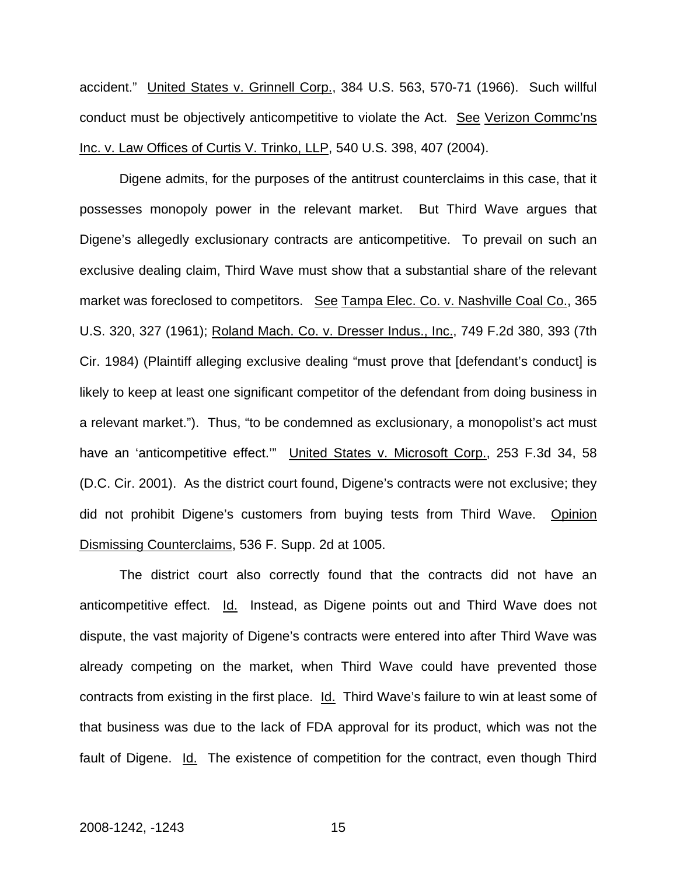accident." United States v. Grinnell Corp., 384 U.S. 563, 570-71 (1966). Such willful conduct must be objectively anticompetitive to violate the Act. See Verizon Commc'ns Inc. v. Law Offices of Curtis V. Trinko, LLP, 540 U.S. 398, 407 (2004).

Digene admits, for the purposes of the antitrust counterclaims in this case, that it possesses monopoly power in the relevant market. But Third Wave argues that Digene's allegedly exclusionary contracts are anticompetitive. To prevail on such an exclusive dealing claim, Third Wave must show that a substantial share of the relevant market was foreclosed to competitors. See Tampa Elec. Co. v. Nashville Coal Co., 365 U.S. 320, 327 (1961); Roland Mach. Co. v. Dresser Indus., Inc., 749 F.2d 380, 393 (7th Cir. 1984) (Plaintiff alleging exclusive dealing "must prove that [defendant's conduct] is likely to keep at least one significant competitor of the defendant from doing business in a relevant market."). Thus, "to be condemned as exclusionary, a monopolist's act must have an 'anticompetitive effect." United States v. Microsoft Corp., 253 F.3d 34, 58 (D.C. Cir. 2001). As the district court found, Digene's contracts were not exclusive; they did not prohibit Digene's customers from buying tests from Third Wave. Opinion Dismissing Counterclaims, 536 F. Supp. 2d at 1005.

The district court also correctly found that the contracts did not have an anticompetitive effect. Id. Instead, as Digene points out and Third Wave does not dispute, the vast majority of Digene's contracts were entered into after Third Wave was already competing on the market, when Third Wave could have prevented those contracts from existing in the first place. Id. Third Wave's failure to win at least some of that business was due to the lack of FDA approval for its product, which was not the fault of Digene. Id. The existence of competition for the contract, even though Third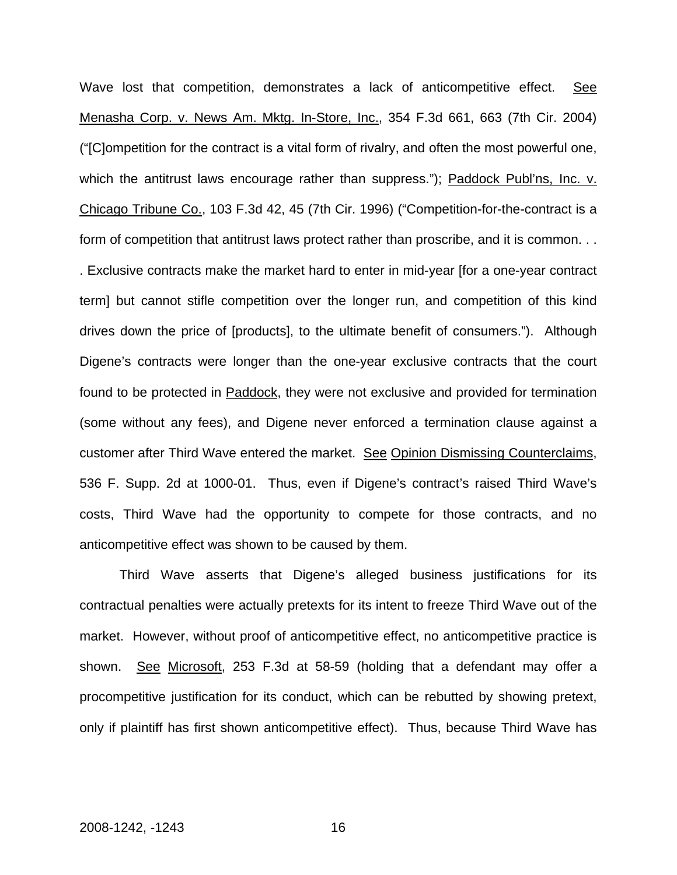Wave lost that competition, demonstrates a lack of anticompetitive effect. See Menasha Corp. v. News Am. Mktg. In-Store, Inc., 354 F.3d 661, 663 (7th Cir. 2004) ("[C]ompetition for the contract is a vital form of rivalry, and often the most powerful one, which the antitrust laws encourage rather than suppress."); Paddock Publ'ns, Inc. v. Chicago Tribune Co., 103 F.3d 42, 45 (7th Cir. 1996) ("Competition-for-the-contract is a form of competition that antitrust laws protect rather than proscribe, and it is common. . . . Exclusive contracts make the market hard to enter in mid-year [for a one-year contract term] but cannot stifle competition over the longer run, and competition of this kind drives down the price of [products], to the ultimate benefit of consumers."). Although Digene's contracts were longer than the one-year exclusive contracts that the court found to be protected in Paddock, they were not exclusive and provided for termination (some without any fees), and Digene never enforced a termination clause against a customer after Third Wave entered the market. See Opinion Dismissing Counterclaims, 536 F. Supp. 2d at 1000-01. Thus, even if Digene's contract's raised Third Wave's costs, Third Wave had the opportunity to compete for those contracts, and no anticompetitive effect was shown to be caused by them.

Third Wave asserts that Digene's alleged business justifications for its contractual penalties were actually pretexts for its intent to freeze Third Wave out of the market. However, without proof of anticompetitive effect, no anticompetitive practice is shown. See Microsoft, 253 F.3d at 58-59 (holding that a defendant may offer a procompetitive justification for its conduct, which can be rebutted by showing pretext, only if plaintiff has first shown anticompetitive effect). Thus, because Third Wave has